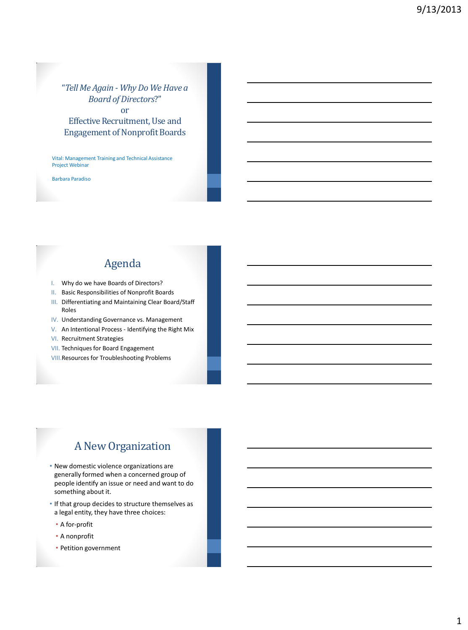#### "*Tell Me Again - Why Do We Have a Board of Directors*?" or

Effective Recruitment, Use and Engagement of Nonprofit Boards

Vital: Management Training and Technical Assistance Project Webinar

Barbara Paradiso

### Agenda

- I. Why do we have Boards of Directors?
- II. Basic Responsibilities of Nonprofit Boards
- III. Differentiating and Maintaining Clear Board/Staff Roles
- IV. Understanding Governance vs. Management
- V. An Intentional Process Identifying the Right Mix
- VI. Recruitment Strategies
- VII. Techniques for Board Engagement
- VIII.Resources for Troubleshooting Problems

### A New Organization

- New domestic violence organizations are generally formed when a concerned group of people identify an issue or need and want to do something about it.
- If that group decides to structure themselves as a legal entity, they have three choices:
	- A for-profit
	- A nonprofit
	- Petition government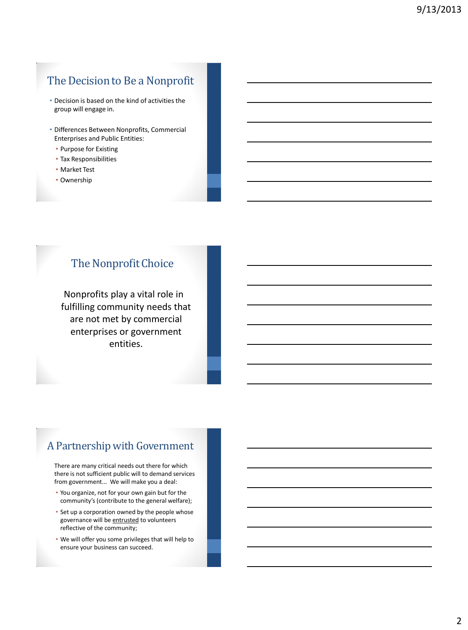## The Decision to Be a Nonprofit

- Decision is based on the kind of activities the group will engage in.
- Differences Between Nonprofits, Commercial Enterprises and Public Entities:
	- Purpose for Existing
	- Tax Responsibilities
	- Market Test
	- Ownership

## The Nonprofit Choice

Nonprofits play a vital role in fulfilling community needs that are not met by commercial enterprises or government entities.

## A Partnership with Government

There are many critical needs out there for which there is not sufficient public will to demand services from government... We will make you a deal:

- You organize, not for your own gain but for the community's (contribute to the general welfare);
- Set up a corporation owned by the people whose governance will be entrusted to volunteers reflective of the community;
- We will offer you some privileges that will help to ensure your business can succeed.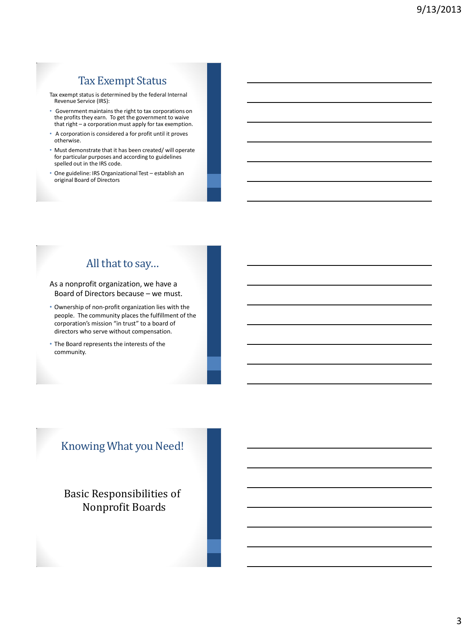## Tax Exempt Status

Tax exempt status is determined by the federal Internal Revenue Service (IRS):

- Government maintains the right to tax corporations on the profits they earn. To get the government to waive that right – a corporation must apply for tax exemption.
- A corporation is considered a for profit until it proves otherwise.
- Must demonstrate that it has been created/ will operate for particular purposes and according to guidelines spelled out in the IRS code.
- One guideline: IRS Organizational Test establish an original Board of Directors

## All that to say…

As a nonprofit organization, we have a Board of Directors because – we must.

- Ownership of non-profit organization lies with the people. The community places the fulfillment of the corporation's mission "in trust" to a board of directors who serve without compensation.
- The Board represents the interests of the community.

## Knowing What you Need!

Basic Responsibilities of Nonprofit Boards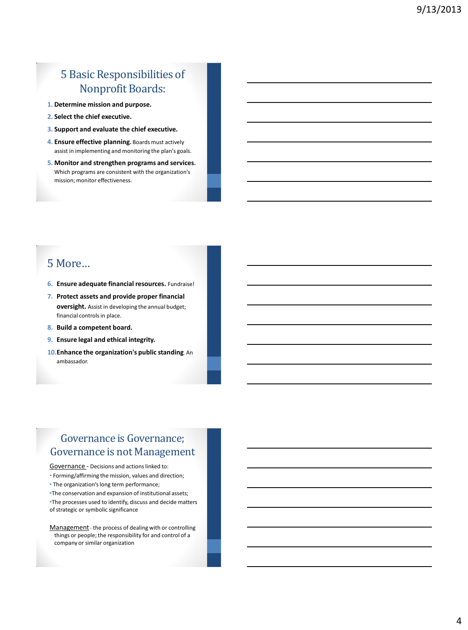## 5 Basic Responsibilities of Nonprofit Boards:

- **1. Determine mission and purpose.**
- **2. Select the chief executive.**
- **3. Support and evaluate the chief executive.**
- **4. Ensure effective planning.** Boards must actively assist in implementing and monitoring the plan's goals.
- **5. Monitor and strengthen programs and services.** Which programs are consistent with the organization's mission; monitor effectiveness.

### 5 More…

- **6. Ensure adequate financial resources.** Fundraise!
- **7. Protect assets and provide proper financial oversight.** Assist in developing the annual budget; financial controls in place.
- **8. Build a competent board.**
- **9. Ensure legal and ethical integrity.**
- **10.Enhance the organization's public standing**. An ambassador.

## Governance is Governance; Governance is not Management

#### Governance - Decisions and actions linked to:

- Forming/affirming the mission, values and direction;
- The organization's long term performance;
- •The conservation and expansion of institutional assets;

•The processes used to identify, discuss and decide matters of strategic or symbolic significance

Management - the process of dealing with or controlling things or people; the responsibility for and control of a company or similar organization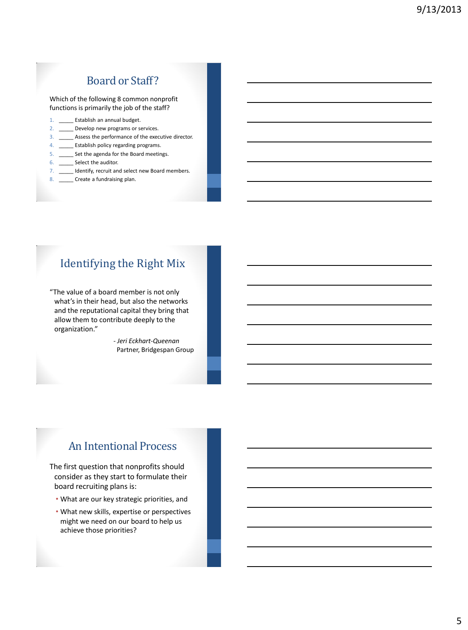### Board or Staff?

Which of the following 8 common nonprofit functions is primarily the job of the staff?

- 1. **Establish an annual budget.**
- 2. \_\_\_\_\_\_ Develop new programs or services.
- 3. \_\_\_\_\_ Assess the performance of the executive director.
- 4. \_\_\_\_\_ Establish policy regarding programs.
- 5. \_\_\_\_\_ Set the agenda for the Board meetings.
- 6. Select the auditor.
- 7. \_\_\_\_\_ Identify, recruit and select new Board members.
- 8. \_\_\_\_\_\_ Create a fundraising plan.

## Identifying the Right Mix

"The value of a board member is not only what's in their head, but also the networks and the reputational capital they bring that allow them to contribute deeply to the organization."

> - *Jeri Eckhart-Queenan* Partner, Bridgespan Group

### An Intentional Process

The first question that nonprofits should consider as they start to formulate their board recruiting plans is:

- What are our key strategic priorities, and
- What new skills, expertise or perspectives might we need on our board to help us achieve those priorities?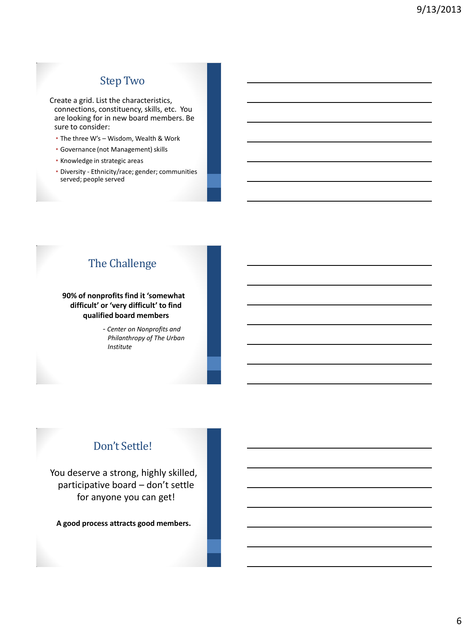## Step Two

Create a grid. List the characteristics, connections, constituency, skills, etc. You are looking for in new board members. Be sure to consider:

- The three W's Wisdom, Wealth & Work
- Governance (not Management) skills
- Knowledge in strategic areas
- Diversity Ethnicity/race; gender; communities served; people served

## The Challenge

#### **90% of nonprofits find it 'somewhat difficult' or 'very difficult' to find qualified board members**

- *Center on Nonprofits and Philanthropy of The Urban Institute*

# Don't Settle!

You deserve a strong, highly skilled, participative board – don't settle for anyone you can get!

**A good process attracts good members.**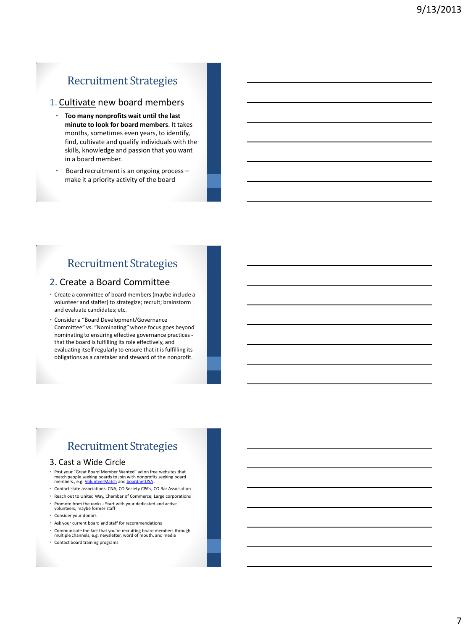## Recruitment Strategies

#### 1. Cultivate new board members

- **Too many nonprofits wait until the last minute to look for board members**. It takes months, sometimes even years, to identify, find, cultivate and qualify individuals with the skills, knowledge and passion that you want in a board member.
- Board recruitment is an ongoing process make it a priority activity of the board

## Recruitment Strategies

#### 2. Create a Board Committee

- Create a committee of board members (maybe include a volunteer and staffer) to strategize; recruit; brainstorm and evaluate candidates; etc.
- Consider a "Board Development/Governance Committee" vs. "Nominating" whose focus goes beyond nominating to ensuring effective governance practices that the board is fulfilling its role effectively, and evaluating itself regularly to ensure that it is fulfilling its obligations as a caretaker and steward of the nonprofit.

## Recruitment Strategies

#### 3. Cast a Wide Circle

- Post your "Great Board Member Wanted" ad on free websites that<br>match people seeking boards to join with nonprofits seeking board<br>members., e.g. <u>VolunteerMatch</u> and <u>boardnetUSA</u> .
- Contact state associations: CNA; CO Society CPA's, CO Bar Association
- Reach out to United Way, Chamber of Commerce; Large corporations
- Promote from the ranks Start with your dedicated and active volunteers, maybe former staff
- Consider your donors
- Ask your current board and staff for recommendations • Communicate the fact that you're recruiting board members through multiple channels, e.g. newsletter, word of mouth, and media
- Contact board training programs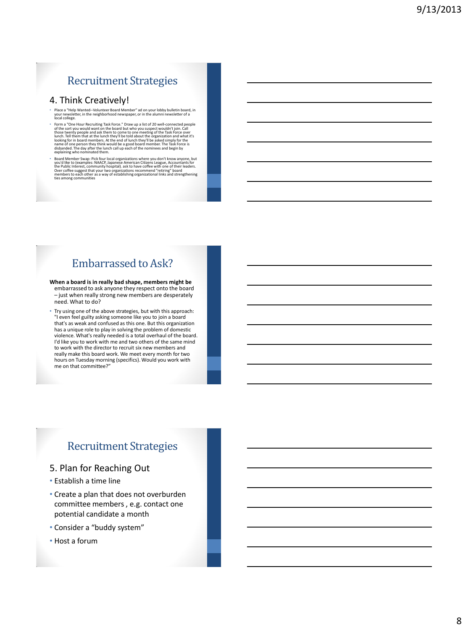## Recruitment Strategies

#### 4. Think Creatively!

- Place a "Help Wanted--Volunteer Board Member" ad on your lobby bulletin board, in your newsletter, in the neighborhood newspaper, or in the alumni newsletter of a local college.
- F form a "One Hour Recruiting Task Force." Draw up a list of 20 well-connected people<br>of the sort you would want on the board but who you suspect wouldn't join. Call<br>those twenty people and ask them to come to one meeting
- <sup>8</sup> Board Member Swap: Pick four local organizations where you don't know anyone, but<br>you'd like to (examples: NAACP, Japanese American Citizens League, Accountants for<br>the Public Interest, community hospital). ask to have

## Embarrassed to Ask?

- **When a board is in really bad shape, members might be**  embarrassed to ask anyone they respect onto the board – just when really strong new members are desperately need. What to do?
- Try using one of the above strategies, but with this approach: "I even feel guilty asking someone like you to join a board that's as weak and confused as this one. But this organization has a unique role to play in solving the problem of domestic violence. What's really needed is a total overhaul of the board. I'd like you to work with me and two others of the same mind to work with the director to recruit six new members and really make this board work. We meet every month for two hours on Tuesday morning (specifics). Would you work with me on that committee?"

#### Recruitment Strategies

- 5. Plan for Reaching Out
- Establish a time line
- Create a plan that does not overburden committee members , e.g. contact one potential candidate a month
- Consider a "buddy system"
- Host a forum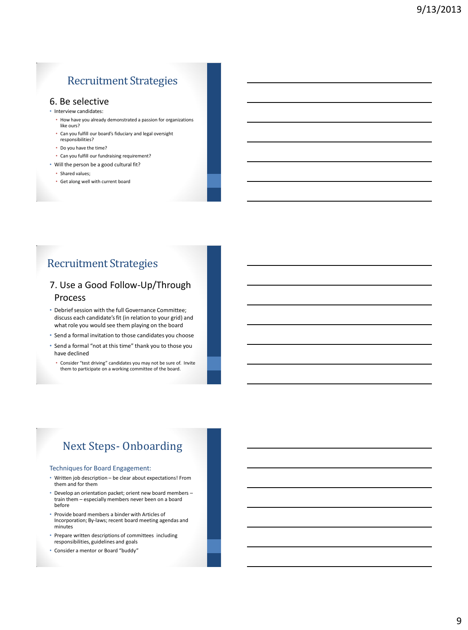## Recruitment Strategies

#### 6. Be selective

- Interview candidates:
	- How have you already demonstrated a passion for organizations like ours?
	- Can you fulfill our board's fiduciary and legal oversight responsibilities?
	- Do you have the time?
	- Can you fulfill our fundraising requirement?
- Will the person be a good cultural fit?
	- Shared values;
	- Get along well with current board

## Recruitment Strategies

#### 7. Use a Good Follow-Up/Through Process

- Debrief session with the full Governance Committee; discuss each candidate's fit (in relation to your grid) and what role you would see them playing on the board
- Send a formal invitation to those candidates you choose
- Send a formal "not at this time" thank you to those you have declined
- Consider "test driving" candidates you may not be sure of. Invite them to participate on a working committee of the board.

# Next Steps- Onboarding

#### Techniques for Board Engagement:

- Written job description be clear about expectations! From them and for them
- Develop an orientation packet; orient new board members train them – especially members never been on a board before
- Provide board members a binder with Articles of Incorporation; By-laws; recent board meeting agendas and minutes
- Prepare written descriptions of committees including responsibilities, guidelines and goals
- Consider a mentor or Board "buddy"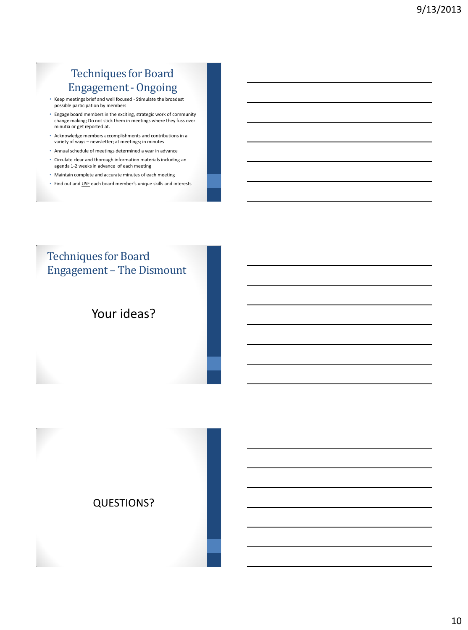## Techniques for Board Engagement - Ongoing

- Keep meetings brief and well focused Stimulate the broadest possible participation by members
- Engage board members in the exciting, strategic work of community change making; Do not stick them in meetings where they fuss over minutia or get reported at.
- Acknowledge members accomplishments and contributions in a variety of ways – newsletter; at meetings; in minutes
- Annual schedule of meetings determined a year in advance
- Circulate clear and thorough information materials including an agenda 1-2 weeks in advance of each meeting
- Maintain complete and accurate minutes of each meeting
- Find out and USE each board member's unique skills and interests

## Techniques for Board Engagement – The Dismount

## Your ideas?

#### QUESTIONS?